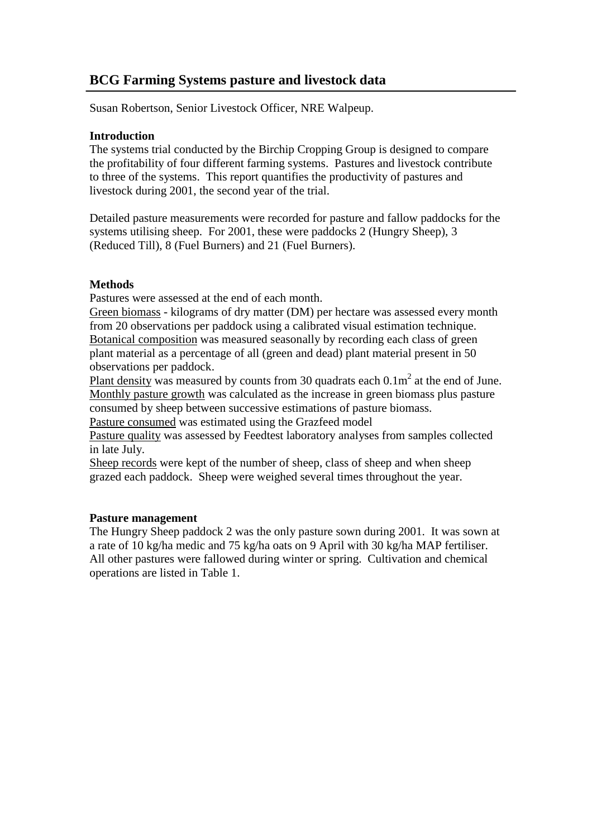# **BCG Farming Systems pasture and livestock data**

Susan Robertson, Senior Livestock Officer, NRE Walpeup.

#### **Introduction**

The systems trial conducted by the Birchip Cropping Group is designed to compare the profitability of four different farming systems. Pastures and livestock contribute to three of the systems. This report quantifies the productivity of pastures and livestock during 2001, the second year of the trial.

Detailed pasture measurements were recorded for pasture and fallow paddocks for the systems utilising sheep. For 2001, these were paddocks 2 (Hungry Sheep), 3 (Reduced Till), 8 (Fuel Burners) and 21 (Fuel Burners).

# **Methods**

Pastures were assessed at the end of each month.

Green biomass - kilograms of dry matter (DM) per hectare was assessed every month from 20 observations per paddock using a calibrated visual estimation technique. Botanical composition was measured seasonally by recording each class of green plant material as a percentage of all (green and dead) plant material present in 50 observations per paddock.

Plant density was measured by counts from 30 quadrats each  $0.1 \text{m}^2$  at the end of June. Monthly pasture growth was calculated as the increase in green biomass plus pasture consumed by sheep between successive estimations of pasture biomass.

Pasture consumed was estimated using the Grazfeed model

Pasture quality was assessed by Feedtest laboratory analyses from samples collected in late July.

Sheep records were kept of the number of sheep, class of sheep and when sheep grazed each paddock. Sheep were weighed several times throughout the year.

# **Pasture management**

The Hungry Sheep paddock 2 was the only pasture sown during 2001. It was sown at a rate of 10 kg/ha medic and 75 kg/ha oats on 9 April with 30 kg/ha MAP fertiliser. All other pastures were fallowed during winter or spring. Cultivation and chemical operations are listed in Table 1.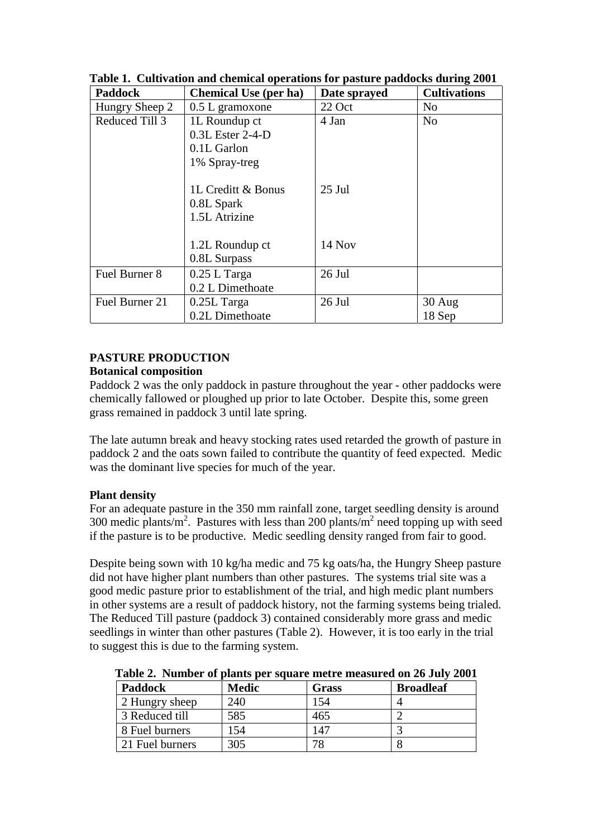| <b>Paddock</b> | <b>Chemical Use (per ha)</b> | Date sprayed | <b>Cultivations</b> |  |
|----------------|------------------------------|--------------|---------------------|--|
| Hungry Sheep 2 | $0.5$ L gramoxone            | 22 Oct       | N <sub>0</sub>      |  |
| Reduced Till 3 | 1L Roundup ct                | 4 Jan        | N <sub>0</sub>      |  |
|                | 0.3L Ester 2-4-D             |              |                     |  |
|                | 0.1L Garlon                  |              |                     |  |
|                | 1% Spray-treg                |              |                     |  |
|                |                              |              |                     |  |
|                | 1L Creditt & Bonus           | $25$ Jul     |                     |  |
|                | 0.8L Spark                   |              |                     |  |
|                | 1.5L Atrizine                |              |                     |  |
|                |                              |              |                     |  |
|                | 1.2L Roundup ct              | 14 Nov       |                     |  |
|                | 0.8L Surpass                 |              |                     |  |
| Fuel Burner 8  | $0.25$ L Targa               | 26 Jul       |                     |  |
|                | 0.2 L Dimethoate             |              |                     |  |
| Fuel Burner 21 | $0.25L$ Targa                | 26 Jul       | $30$ Aug            |  |
|                | 0.2L Dimethoate              |              | 18 Sep              |  |

**Table 1. Cultivation and chemical operations for pasture paddocks during 2001** 

#### **PASTURE PRODUCTION Botanical composition**

Paddock 2 was the only paddock in pasture throughout the year - other paddocks were chemically fallowed or ploughed up prior to late October. Despite this, some green grass remained in paddock 3 until late spring.

The late autumn break and heavy stocking rates used retarded the growth of pasture in paddock 2 and the oats sown failed to contribute the quantity of feed expected. Medic was the dominant live species for much of the year.

# **Plant density**

For an adequate pasture in the 350 mm rainfall zone, target seedling density is around 300 medic plants/ $m^2$ . Pastures with less than 200 plants/ $m^2$  need topping up with seed if the pasture is to be productive. Medic seedling density ranged from fair to good.

Despite being sown with 10 kg/ha medic and 75 kg oats/ha, the Hungry Sheep pasture did not have higher plant numbers than other pastures. The systems trial site was a good medic pasture prior to establishment of the trial, and high medic plant numbers in other systems are a result of paddock history, not the farming systems being trialed. The Reduced Till pasture (paddock 3) contained considerably more grass and medic seedlings in winter than other pastures (Table 2). However, it is too early in the trial to suggest this is due to the farming system.

**Table 2. Number of plants per square metre measured on 26 July 2001**

| <b>Paddock</b>  | <b>Medic</b> | Grass | <b>Broadleaf</b> |
|-----------------|--------------|-------|------------------|
| 2 Hungry sheep  | 240          | .54   |                  |
| 3 Reduced till  | 585          | 465   |                  |
| 8 Fuel burners  | 54           | 147   |                  |
| 21 Fuel burners | 305          | 70    |                  |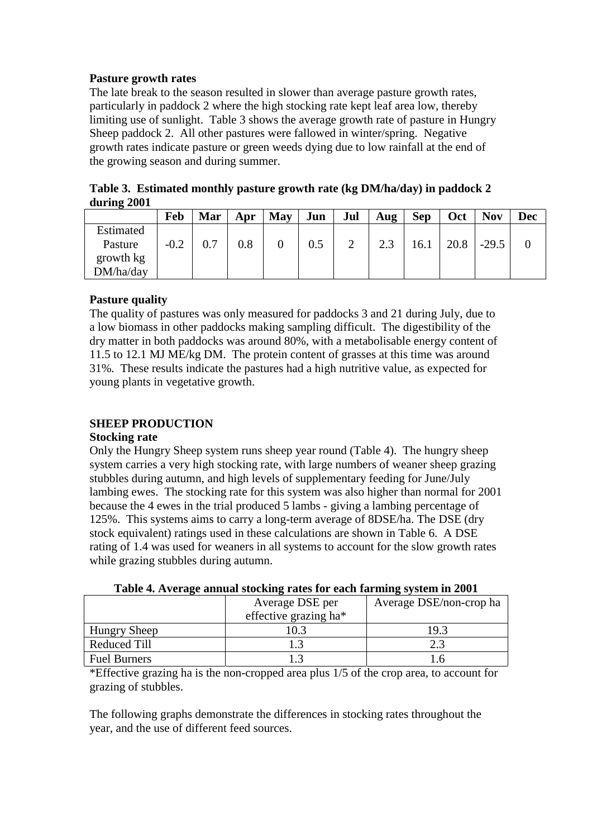#### **Pasture growth rates**

The late break to the season resulted in slower than average pasture growth rates, particularly in paddock 2 where the high stocking rate kept leaf area low, thereby limiting use of sunlight. Table 3 shows the average growth rate of pasture in Hungry Sheep paddock 2. All other pastures were fallowed in winter/spring. Negative growth rates indicate pasture or green weeds dying due to low rainfall at the end of the growing season and during summer.

**Table 3. Estimated monthly pasture growth rate (kg DM/ha/day) in paddock 2 during 2001** 

|           | Feb    | Mar | Apr | May | Jun | Jul | Aug               | <b>Sep</b> | Oct  | <b>Nov</b> | Dec |
|-----------|--------|-----|-----|-----|-----|-----|-------------------|------------|------|------------|-----|
| Estimated |        |     |     |     |     |     |                   |            |      |            |     |
| Pasture   | $-0.2$ | 0.7 | 0.8 |     | 0.5 |     | $\Omega$<br>ل و ک | 16.1       | 20.8 | $-29.5$    |     |
| growth kg |        |     |     |     |     |     |                   |            |      |            |     |
| DM/ha/day |        |     |     |     |     |     |                   |            |      |            |     |

# **Pasture quality**

The quality of pastures was only measured for paddocks 3 and 21 during July, due to a low biomass in other paddocks making sampling difficult. The digestibility of the dry matter in both paddocks was around 80%, with a metabolisable energy content of 11.5 to 12.1 MJ ME/kg DM. The protein content of grasses at this time was around 31%. These results indicate the pastures had a high nutritive value, as expected for young plants in vegetative growth.

# **SHEEP PRODUCTION**

#### **Stocking rate**

Only the Hungry Sheep system runs sheep year round (Table 4). The hungry sheep system carries a very high stocking rate, with large numbers of weaner sheep grazing stubbles during autumn, and high levels of supplementary feeding for June/July lambing ewes. The stocking rate for this system was also higher than normal for 2001 because the 4 ewes in the trial produced 5 lambs - giving a lambing percentage of 125%. This systems aims to carry a long-term average of 8DSE/ha. The DSE (dry stock equivalent) ratings used in these calculations are shown in Table 6. A DSE rating of 1.4 was used for weaners in all systems to account for the slow growth rates while grazing stubbles during autumn.

|                     | Average DSE per       | Average DSE/non-crop ha |  |  |
|---------------------|-----------------------|-------------------------|--|--|
|                     | effective grazing ha* |                         |  |  |
| <b>Hungry Sheep</b> | 10.3                  | 19.3                    |  |  |
| <b>Reduced Till</b> |                       |                         |  |  |
| <b>Fuel Burners</b> |                       |                         |  |  |

**Table 4. Average annual stocking rates for each farming system in 2001**

\*Effective grazing ha is the non-cropped area plus 1/5 of the crop area, to account for grazing of stubbles.

The following graphs demonstrate the differences in stocking rates throughout the year, and the use of different feed sources.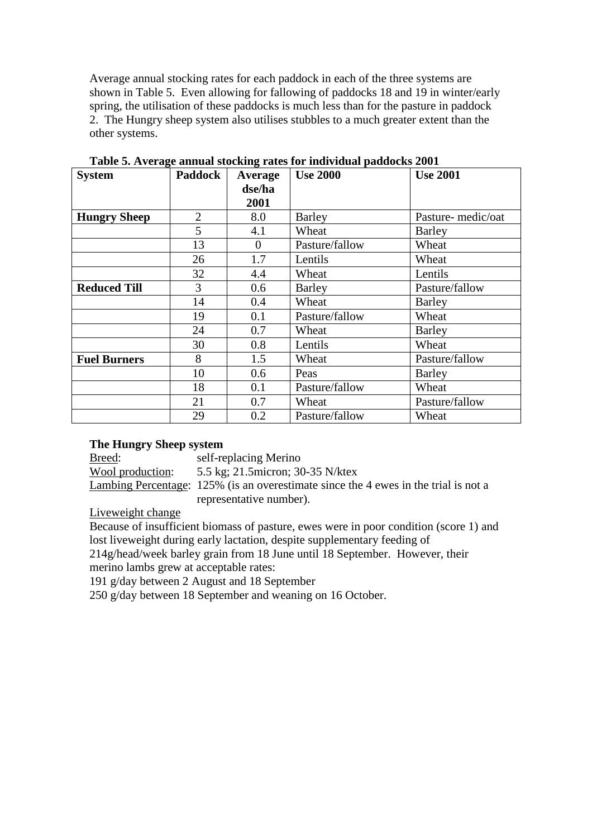Average annual stocking rates for each paddock in each of the three systems are shown in Table 5. Even allowing for fallowing of paddocks 18 and 19 in winter/early spring, the utilisation of these paddocks is much less than for the pasture in paddock 2. The Hungry sheep system also utilises stubbles to a much greater extent than the other systems.

| <b>System</b>       | <b>Paddock</b> | Average  | <b>Use 2000</b><br><b>Use 2001</b> |                   |
|---------------------|----------------|----------|------------------------------------|-------------------|
|                     |                | dse/ha   |                                    |                   |
|                     |                | 2001     |                                    |                   |
| <b>Hungry Sheep</b> | $\overline{2}$ | 8.0      | Barley                             | Pasture-medic/oat |
|                     | 5              | 4.1      | Wheat                              | Barley            |
|                     | 13             | $\Omega$ | Pasture/fallow                     | Wheat             |
|                     | 26             | 1.7      | Lentils                            | Wheat             |
|                     | 32             | 4.4      | Wheat                              | Lentils           |
| <b>Reduced Till</b> | 3              | 0.6      | <b>Barley</b>                      | Pasture/fallow    |
|                     | 14             | 0.4      | Wheat                              | <b>Barley</b>     |
|                     | 19             | 0.1      | Pasture/fallow                     | Wheat             |
|                     | 24             | 0.7      | Wheat                              | Barley            |
|                     | 30             | 0.8      | Lentils                            | Wheat             |
| <b>Fuel Burners</b> | 8              | 1.5      | Wheat                              | Pasture/fallow    |
|                     | 10             | 0.6      | Peas                               | Barley            |
|                     | 18             | 0.1      | Pasture/fallow                     | Wheat             |
|                     | 21             | 0.7      | Wheat                              | Pasture/fallow    |
|                     | 29             | 0.2      | Pasture/fallow                     | Wheat             |

**Table 5. Average annual stocking rates for individual paddocks 2001** 

#### **The Hungry Sheep system**

Breed: self-replacing Merino

Wool production: 5.5 kg; 21.5micron; 30-35 N/ktex

Lambing Percentage: 125% (is an overestimate since the 4 ewes in the trial is not a representative number).

Liveweight change

Because of insufficient biomass of pasture, ewes were in poor condition (score 1) and lost liveweight during early lactation, despite supplementary feeding of

214g/head/week barley grain from 18 June until 18 September. However, their merino lambs grew at acceptable rates:

191 g/day between 2 August and 18 September

250 g/day between 18 September and weaning on 16 October.